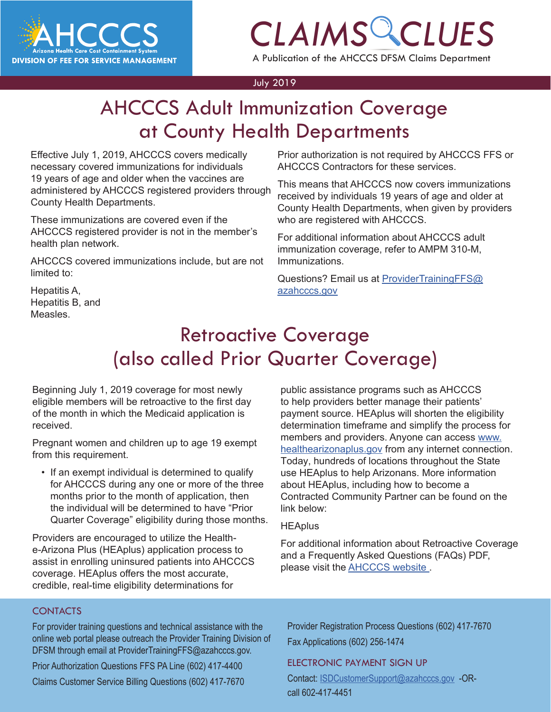

# *CLAIMS CLUES*

A Publication of the AHCCCS DFSM Claims Department

#### July 2019

## **LCCO Addit immonization Coverage**<br>at County Health Departments AHCCCS Adult Immunization Coverage

Effective July 1, 2019, AHCCCS covers medically necessary covered immunizations for individuals 19 years of age and older when the vaccines are administered by AHCCCS registered providers through County Health Departments.

These immunizations are covered even if the AHCCCS registered provider is not in the member's health plan network.

AHCCCS covered immunizations include, but are not limited to:

Prior authorization is not required by AHCCCS FFS or AHCCCS Contractors for these services.

This means that AHCCCS now covers immunizations received by individuals 19 years of age and older at County Health Departments, when given by providers who are registered with AHCCCS.

For additional information about AHCCCS adult immunization coverage, refer to AMPM 310-M, Immunizations.

Questions? Email us at ProviderTrainingFFS@ azahcccs.gov

Hepatitis A, Hepatitis B, and Measles.

### Retroactive Coverage (also called Prior Quarter Coverage)

Beginning July 1, 2019 coverage for most newly eligible members will be retroactive to the first day of the month in which the Medicaid application is received.

Pregnant women and children up to age 19 exempt from this requirement.

• If an exempt individual is determined to qualify for AHCCCS during any one or more of the three months prior to the month of application, then the individual will be determined to have "Prior Quarter Coverage" eligibility during those months.

Providers are encouraged to utilize the Healthe-Arizona Plus (HEAplus) application process to assist in enrolling uninsured patients into AHCCCS coverage. HEAplus offers the most accurate, credible, real-time eligibility determinations for

public assistance programs such as AHCCCS to help providers better manage their patients' payment source. HEAplus will shorten the eligibility determination timeframe and simplify the process for members and providers. Anyone can access [www.](https://www.healthearizonaplus.gov/Default/Default.aspx) [healthearizonaplus.gov](https://www.healthearizonaplus.gov/Default/Default.aspx) from any internet connection. Today, hundreds of locations throughout the State use HEAplus to help Arizonans. More information about HEAplus, including how to become a Contracted Community Partner can be found on the link below:

### **[HEAplus](https://www.healthearizonaplus.gov/Default/Default.aspx)**

For additional information about Retroactive Coverage and a Frequently Asked Questions (FAQs) PDF, please visit the [AHCCCS website](https://www.azahcccs.gov/PlansProviders/RatesAndBilling/FFS/priorqtrcoverage.html) .

### **CONTACTS**

For provider training questions and technical assistance with the online web portal please outreach the Provider Training Division of DFSM through email at ProviderTrainingFFS@azahcccs.gov.

Prior Authorization Questions FFS PA Line (602) 417-4400

Claims Customer Service Billing Questions (602) 417-7670

Provider Registration Process Questions (602) 417-7670 Fax Applications (602) 256-1474

#### [ELECTRONIC PAYMENT SIGN UP](mailto:ProviderTrainingFFS%40azahcccs.gov%20?subject=)

[Contact: ISDCustomerSupport@azahcccs.gov -OR](mailto:ProviderTrainingFFS%40azahcccs.gov%20?subject=)call 602-417-4451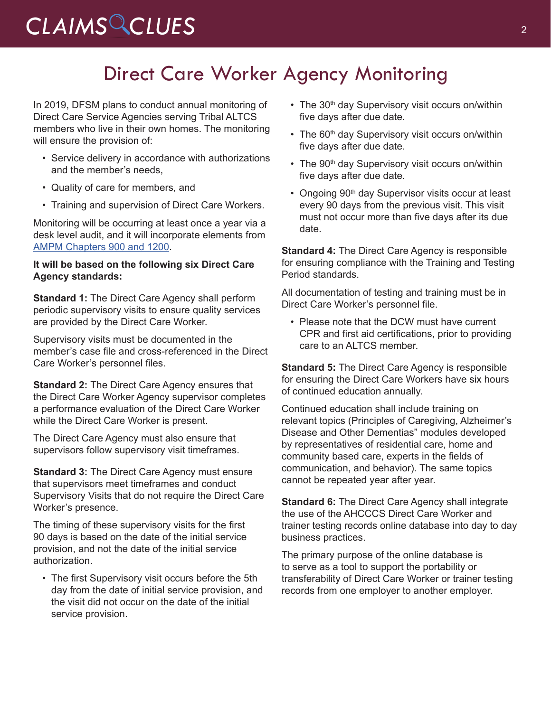# *CLAIMS CLUES* <sup>2</sup>

### Direct Care Worker Agency Monitoring

In 2019, DFSM plans to conduct annual monitoring of Direct Care Service Agencies serving Tribal ALTCS members who live in their own homes. The monitoring will ensure the provision of:

- Service delivery in accordance with authorizations and the member's needs,
- Quality of care for members, and
- Training and supervision of Direct Care Workers.

Monitoring will be occurring at least once a year via a desk level audit, and it will incorporate elements from [AMPM Chapters 900 and 1200](https://www.azahcccs.gov/shared/MedicalPolicyManual/).

### **It will be based on the following six Direct Care Agency standards:**

**Standard 1:** The Direct Care Agency shall perform periodic supervisory visits to ensure quality services are provided by the Direct Care Worker.

Supervisory visits must be documented in the member's case file and cross-referenced in the Direct Care Worker's personnel files.

**Standard 2:** The Direct Care Agency ensures that the Direct Care Worker Agency supervisor completes a performance evaluation of the Direct Care Worker while the Direct Care Worker is present.

The Direct Care Agency must also ensure that supervisors follow supervisory visit timeframes.

**Standard 3: The Direct Care Agency must ensure** that supervisors meet timeframes and conduct Supervisory Visits that do not require the Direct Care Worker's presence.

The timing of these supervisory visits for the first 90 days is based on the date of the initial service provision, and not the date of the initial service authorization.

• The first Supervisory visit occurs before the 5th day from the date of initial service provision, and the visit did not occur on the date of the initial service provision.

- The 30<sup>th</sup> day Supervisory visit occurs on/within five days after due date.
- The 60<sup>th</sup> day Supervisory visit occurs on/within five days after due date.
- The 90<sup>th</sup> day Supervisory visit occurs on/within five days after due date.
- Ongoing 90<sup>th</sup> day Supervisor visits occur at least every 90 days from the previous visit. This visit must not occur more than five days after its due date.

**Standard 4:** The Direct Care Agency is responsible for ensuring compliance with the Training and Testing Period standards.

All documentation of testing and training must be in Direct Care Worker's personnel file.

• Please note that the DCW must have current CPR and first aid certifications, prior to providing care to an ALTCS member.

**Standard 5:** The Direct Care Agency is responsible for ensuring the Direct Care Workers have six hours of continued education annually.

Continued education shall include training on relevant topics (Principles of Caregiving, Alzheimer's Disease and Other Dementias" modules developed by representatives of residential care, home and community based care, experts in the fields of communication, and behavior). The same topics cannot be repeated year after year.

**Standard 6:** The Direct Care Agency shall integrate the use of the AHCCCS Direct Care Worker and trainer testing records online database into day to day business practices.

The primary purpose of the online database is to serve as a tool to support the portability or transferability of Direct Care Worker or trainer testing records from one employer to another employer.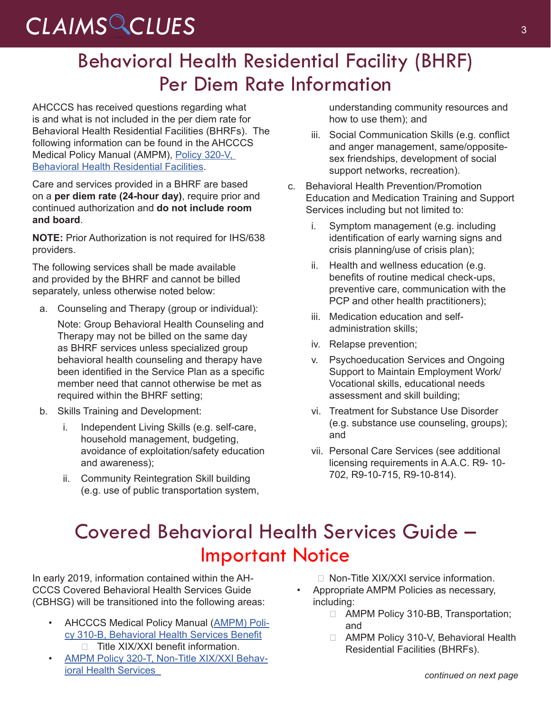# CLAIMS CLUES<sup>3</sup>

### Behavioral Health Residential Facility (BHRF) Per Diem Rate Information

AHCCCS has received questions regarding what is and what is not included in the per diem rate for Behavioral Health Residential Facilities (BHRFs). The following information can be found in the AHCCCS Medical Policy Manual (AMPM), [Policy 320-V,](https://www.azahcccs.gov/shared/Downloads/MedicalPolicyManual/300/320v.pdf)  [Behavioral Health Residential Facilities](https://www.azahcccs.gov/shared/Downloads/MedicalPolicyManual/300/320v.pdf).

Care and services provided in a BHRF are based on a **per diem rate (24-hour day)**, require prior and continued authorization and **do not include room and board**.

**NOTE:** Prior Authorization is not required for IHS/638 providers.

The following services shall be made available and provided by the BHRF and cannot be billed separately, unless otherwise noted below:

a. Counseling and Therapy (group or individual):

Note: Group Behavioral Health Counseling and Therapy may not be billed on the same day as BHRF services unless specialized group behavioral health counseling and therapy have been identified in the Service Plan as a specific member need that cannot otherwise be met as required within the BHRF setting;

- b. Skills Training and Development:
	- i. Independent Living Skills (e.g. self-care, household management, budgeting, avoidance of exploitation/safety education and awareness);
	- ii. Community Reintegration Skill building (e.g. use of public transportation system,

understanding community resources and how to use them); and

- iii. Social Communication Skills (e.g. conflict and anger management, same/oppositesex friendships, development of social support networks, recreation).
- c. Behavioral Health Prevention/Promotion Education and Medication Training and Support Services including but not limited to:
	- i. Symptom management (e.g. including identification of early warning signs and crisis planning/use of crisis plan);
	- ii. Health and wellness education (e.g. benefits of routine medical check-ups, preventive care, communication with the PCP and other health practitioners);
	- iii. Medication education and selfadministration skills;
	- iv. Relapse prevention;
	- v. Psychoeducation Services and Ongoing Support to Maintain Employment Work/ Vocational skills, educational needs assessment and skill building;
	- vi. Treatment for Substance Use Disorder (e.g. substance use counseling, groups); and
	- vii. Personal Care Services (see additional licensing requirements in A.A.C. R9- 10- 702, R9-10-715, R9-10-814).

### Covered Behavioral Health Services Guide – Important Notice

In early 2019, information contained within the AH-CCCS Covered Behavioral Health Services Guide (CBHSG) will be transitioned into the following areas:

- AHCCCS Medical Policy Manual ([AMPM\) Poli](https://www.azahcccs.gov/shared/Downloads/MedicalPolicyManual/310B.pdf)[cy 310-B, Behavioral Health Services Benefit](https://www.azahcccs.gov/shared/Downloads/MedicalPolicyManual/310B.pdf)  $\Box$  Title XIX/XXI benefit information.
- [AMPM Policy 320-T, Non-Title XIX/XXI Behav](https://www.azahcccs.gov/shared/Downloads/MedicalPolicyManual/320T.pdf)[ioral Health Services](https://www.azahcccs.gov/shared/Downloads/MedicalPolicyManual/320T.pdf)

□ Non-Title XIX/XXI service information.

- Appropriate AMPM Policies as necessary, including:
	- □ AMPM Policy 310-BB, Transportation; and
	- □ AMPM Policy 310-V, Behavioral Health Residential Facilities (BHRFs).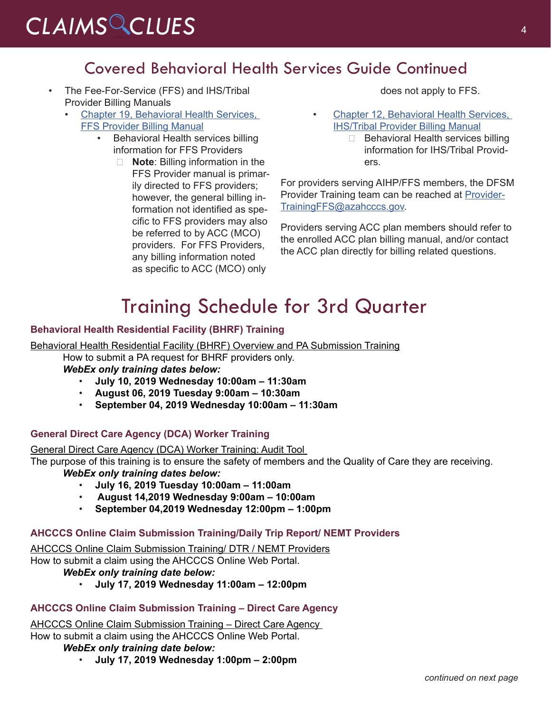### Covered Behavioral Health Services Guide Continued

- The Fee-For-Service (FFS) and IHS/Tribal Provider Billing Manuals
	- [Chapter 19, Behavioral Health Services,](https://www.azahcccs.gov/shared/Downloads/MedicalPolicyManual/310B.pdf)  [FFS Provider Billing Manual](https://www.azahcccs.gov/shared/Downloads/MedicalPolicyManual/310B.pdf)
		- Behavioral Health services billing information for FFS Providers
			- □ **Note**: Billing information in the FFS Provider manual is primarily directed to FFS providers; however, the general billing information not identified as specific to FFS providers may also be referred to by ACC (MCO) providers. For FFS Providers, any billing information noted as specific to ACC (MCO) only

does not apply to FFS.

- Chapter 12, Behavioral Health Services, [IHS/Tribal Provider Billing Manual](https://www.azahcccs.gov/PlansProviders/Downloads/IHS-TribalManual/IHS-Chap12BehavioralHealth.pdf)
	- $\Box$  Behavioral Health services billing information for IHS/Tribal Providers.

For providers serving AIHP/FFS members, the DFSM Provider Training team can be reached at [Provider-](mailto:ProviderTrainingFFS@azahcccs.gov)[TrainingFFS@azahcccs.gov](mailto:ProviderTrainingFFS@azahcccs.gov).

Providers serving ACC plan members should refer to the enrolled ACC plan billing manual, and/or contact the ACC plan directly for billing related questions.

### Training Schedule for 3rd Quarter

### **Behavioral Health Residential Facility (BHRF) Training**

Behavioral Health Residential Facility (BHRF) Overview and PA Submission Training

How to submit a PA request for BHRF providers only.

*WebEx only training dates below:* 

- **July 10, 2019 Wednesday 10:00am 11:30am**
- **August 06, 2019 Tuesday 9:00am 10:30am**
- **September 04, 2019 Wednesday 10:00am 11:30am**

### **General Direct Care Agency (DCA) Worker Training**

General Direct Care Agency (DCA) Worker Training: Audit Tool

The purpose of this training is to ensure the safety of members and the Quality of Care they are receiving. *WebEx only training dates below:* 

- **July 16, 2019 Tuesday 10:00am 11:00am**
- • **August 14,2019 Wednesday 9:00am 10:00am**
- **September 04,2019 Wednesday 12:00pm 1:00pm**

### **AHCCCS Online Claim Submission Training/Daily Trip Report/ NEMT Providers**

AHCCCS Online Claim Submission Training/ DTR / NEMT Providers How to submit a claim using the AHCCCS Online Web Portal. *WebEx only training date below:* 

- 
- **July 17, 2019 Wednesday 11:00am 12:00pm**

### **AHCCCS Online Claim Submission Training – Direct Care Agency**

AHCCCS Online Claim Submission Training – Direct Care Agency How to submit a claim using the AHCCCS Online Web Portal.

#### *WebEx only training date below:*

• **July 17, 2019 Wednesday 1:00pm – 2:00pm**